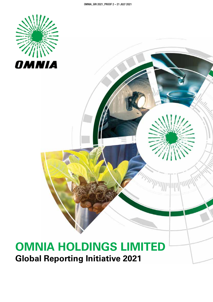

# **OMNIA HOLDINGS LIMITED Global Reporting Initiative 2021**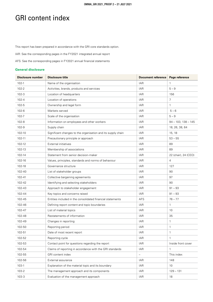### GRI content index

This report has been prepared in accordance with the GRI core standards option.

IAR: See the corresponding pages in the FY2021 integrated annual report

AFS: See the corresponding pages in FY2021 annual financial statements

#### **General disclosure**

| <b>Disclosure number</b> | <b>Disclosure title</b>                                      | <b>Document reference</b> | Page reference        |
|--------------------------|--------------------------------------------------------------|---------------------------|-----------------------|
| $102 - 1$                | Name of the organisation                                     | <b>IAR</b>                | $\mathbf{1}$          |
| $102 - 2$                | Activities, brands, products and services                    | <b>IAR</b>                | $5 - 9$               |
| $102 - 3$                | Location of headquarters                                     | <b>IAR</b>                | 156                   |
| $102 - 4$                | Location of operations                                       | <b>IAR</b>                | $\overline{7}$        |
| $102 - 5$                | Ownership and legal form                                     | <b>IAR</b>                | $\mathbf{1}$          |
| $102 - 6$                | Markets served                                               | <b>IAR</b>                | $5 - 6$               |
| $102 - 7$                | Scale of the organisation                                    | <b>IAR</b>                | $5 - 9$               |
| $102 - 8$                | Information on employees and other workers                   | <b>IAR</b>                | $94 - 103, 138 - 145$ |
| $102 - 9$                | Supply chain                                                 | <b>IAR</b>                | 18, 26, 38, 64        |
| 102-10                   | Significant changes to the organisation and its supply chain | <b>IAR</b>                | 15, 18                |
| 102-11                   | Precautionary principle or approach                          | <b>IAR</b>                | $53 - 55$             |
| 102-12                   | <b>External initiatives</b>                                  | <b>IAR</b>                | 89                    |
| 102-13                   | Membership of associations                                   | <b>IAR</b>                | 89                    |
| 102-14                   | Statement from senior decision-maker                         | <b>IAR</b>                | 22 (chair), 24 (CEO)  |
| 102-16                   | Values, principles, standards and norms of behaviour         | <b>IAR</b>                | 4                     |
| 102-18                   | Governance structure                                         | <b>IAR</b>                | 127                   |
| 102-40                   | List of stakeholder groups                                   | <b>IAR</b>                | 90                    |
| 102-41                   | Collective bargaining agreements                             | <b>IAR</b>                | 97                    |
| 102-42                   | Identifying and selecting stakeholders                       | <b>IAR</b>                | 90                    |
| 102-43                   | Approach to stakeholder engagement                           | <b>IAR</b>                | $91 - 93$             |
| 102-44                   | Key topics and concerns raised                               | <b>IAR</b>                | $91 - 93$             |
| 102-45                   | Entities included in the consolidated financial statements   | <b>AFS</b>                | $76 - 77$             |
| 102-46                   | Defining report content and topic boundaries                 | <b>IAR</b>                | $\mathbf{1}$          |
| 102-47                   | List of material topics                                      | <b>IAR</b>                | 10                    |
| 102-48                   | Restatements of information                                  | <b>IAR</b>                | 35                    |
| 102-49                   | Changes in reporting                                         | <b>IAR</b>                | $\mathbf{1}$          |
| 102-50                   | Reporting period                                             | <b>IAR</b>                | $\mathbf{1}$          |
| 102-51                   | Date of most recent report                                   | <b>IAR</b>                | $\mathbf{1}$          |
| 102-52                   | Reporting cycle                                              | IAR                       | $\mathbf{1}$          |
| 102-53                   | Contact point for questions regarding the report             | <b>IAR</b>                | Inside front cover    |
| 102-54                   | Claims of reporting in accordance with the GRI standards     | <b>IAR</b>                | $\mathbf{1}$          |
| 102-55                   | GRI content index                                            | $\qquad \qquad -$         | This index            |
| 102-56                   | External assurance                                           | IAR                       | 148                   |
| $103-1$                  | Explanation of the material topic and its boundary           | <b>IAR</b>                | 10 <sup>°</sup>       |
| 103-2                    | The management approach and its components                   | <b>IAR</b>                | $129 - 131$           |
| $103 - 3$                | Evaluation of the management approach                        | <b>IAR</b>                | 18                    |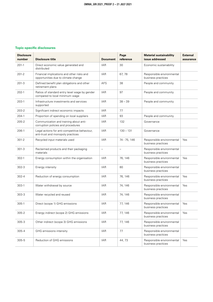#### **Topic-specific disclosures**

| <b>Disclosure</b><br>number | <b>Disclosure title</b>                                                            | <b>Document</b>          | Page<br>reference        | <b>Material sustainability</b><br>issue addressed | <b>External</b><br>assurance |
|-----------------------------|------------------------------------------------------------------------------------|--------------------------|--------------------------|---------------------------------------------------|------------------------------|
| $201-1$                     | Direct economic value generated and<br>distributed                                 | IAR                      | 30                       | Economic sustainability                           |                              |
| $201 - 2$                   | Financial implications and other risks and<br>opportunities due to climate change  | <b>IAR</b>               | 67,78                    | Responsible environmental<br>business practices   |                              |
| $201-3$                     | Defined benefit plan obligations and other<br>retirement plans                     | <b>AFS</b>               | 38                       | People and community                              |                              |
| $202-1$                     | Ratios of standard entry level wage by gender<br>compared to local minimum wage    | <b>IAR</b>               | 97                       | People and community                              |                              |
| 203-1                       | Infrastructure investments and services<br>supported                               | <b>IAR</b>               | $38 - 39$                | People and community                              |                              |
| $203 - 2$                   | Significant indirect economic impacts                                              | <b>IAR</b>               | 77                       |                                                   |                              |
| $204-1$                     | Proportion of spending on local suppliers                                          | IAR                      | 93                       | People and community                              |                              |
| $205 - 2$                   | Communication and training about anti-<br>corruption policies and procedures       | IAR                      | 132                      | Governance                                        |                              |
| 206-1                       | Legal actions for anti-competitive behaviour,<br>anti-trust and monopoly practices | <b>IAR</b>               | $130 - 131$              | Governance                                        |                              |
| $301 - 2$                   | Recycled input materials used                                                      | <b>IAR</b>               | 74 - 75, 146             | Responsible environmental<br>business practices   | Yes                          |
| $301 - 3$                   | Reclaimed products and their packaging<br>materials                                | $\overline{\phantom{0}}$ | $\overline{\phantom{0}}$ | Responsible environmental<br>business practices   |                              |
| 302-1                       | Energy consumption within the organisation                                         | IAR                      | 76, 146                  | Responsible environmental<br>business practices   | Yes                          |
| $302 - 3$                   | Energy intensity                                                                   | <b>IAR</b>               | 80                       | Responsible environmental<br>business practices   |                              |
| $302 - 4$                   | Reduction of energy consumption                                                    | IAR                      | 76, 146                  | Responsible environmental<br>business practices   | Yes                          |
| 303-1                       | Water withdrawal by source                                                         | IAR                      | 74, 146                  | Responsible environmental<br>business practices   | Yes                          |
| $303 - 3$                   | Water recycled and reused                                                          | IAR                      | 74, 146                  | Responsible environmental<br>business practices   |                              |
| 305-1                       | Direct (scope 1) GHG emissions                                                     | IAR                      | 77, 146                  | Responsible environmental<br>business practices   | Yes                          |
| 305-2                       | Energy indirect (scope 2) GHG emissions                                            | <b>IAR</b>               | 77, 146                  | Responsible environmental<br>business practices   | Yes                          |
| 305-3                       | Other indirect (scope 3) GHG emissions                                             | <b>IAR</b>               | 77, 146                  | Responsible environmental<br>business practices   |                              |
| $305 - 4$                   | GHG emissions intensity                                                            | <b>IAR</b>               | 77                       | Responsible environmental<br>business practices   |                              |
| $305 - 5$                   | Reduction of GHG emissions                                                         | IAR                      | 44,73                    | Responsible environmental<br>business practices   | Yes                          |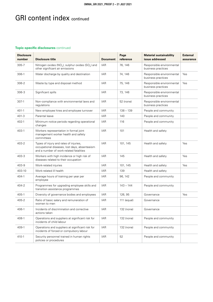## GRI content index continued

#### **Topic-specific disclosures** continued

| <b>Disclosure</b><br>number | <b>Disclosure title</b>                                                                                                            | <b>Document</b> | Page<br>reference | <b>Material sustainability</b><br>issue addressed | <b>External</b><br>assurance |
|-----------------------------|------------------------------------------------------------------------------------------------------------------------------------|-----------------|-------------------|---------------------------------------------------|------------------------------|
| 305-7                       | Nitrogen oxides ( $NO_x$ ), sulphur oxides ( $SO_x$ ) and<br>other significant air emissions                                       | <b>IAR</b>      | 76, 146           | Responsible environmental<br>business practices   |                              |
| 306-1                       | Water discharge by quality and destination                                                                                         | <b>IAR</b>      | 74, 146           | Responsible environmental<br>business practices   | Yes                          |
| 306-2                       | Waste by type and disposal method                                                                                                  | <b>IAR</b>      | 75, 146           | Responsible environmental<br>business practices   | Yes                          |
| 306-3                       | Significant spills                                                                                                                 | <b>IAR</b>      | 73, 146           | Responsible environmental<br>business practices   |                              |
| 307-1                       | Non-compliance with environmental laws and<br>regulations                                                                          | <b>IAR</b>      | 52 (none)         | Responsible environmental<br>business practices   |                              |
| 401-1                       | New employee hires and employee turnover                                                                                           | <b>IAR</b>      | $138 - 139$       | People and community                              |                              |
| $401 - 3$                   | Parental leave                                                                                                                     | IAR             | 140               | People and community                              |                              |
| 402-1                       | Minimum notice periods regarding operational<br>changes                                                                            | <b>IAR</b>      | 116               | People and community                              |                              |
| 403-1                       | Workers representation in formal joint<br>management worker health and safety<br>committees                                        | <b>IAR</b>      | 101               | Health and safety                                 |                              |
| 403-2                       | Types of injury and rates of injuries,<br>occupational diseases, lost days, absenteeism<br>and a number of work-related fatalities | <b>IAR</b>      | 101, 145          | Health and safety                                 | Yes                          |
| 403-3                       | Workers with high incidence or high risk of<br>diseases related to their occupation                                                | <b>IAR</b>      | 145               | Health and safety                                 | Yes                          |
| 403-9                       | Work-related injuries                                                                                                              | <b>IAR</b>      | 101, 145          | Health and safety                                 | Yes                          |
| 403-10                      | Work-related ill health                                                                                                            | IAR             | 139               | Health and safety                                 |                              |
| 404-1                       | Average hours of training per year per<br>employee                                                                                 | <b>IAR</b>      | 96, 142           | People and community                              |                              |
| 404-2                       | Programmes for upgrading employee skills and<br>transition assistance programmes                                                   | <b>IAR</b>      | $143 - 144$       | People and community                              |                              |
| 405-1                       | Diversity of governance bodies and employees                                                                                       | <b>IAR</b>      | 126, 95           | Governance                                        | Yes                          |
| 405-2                       | Ratio of basic salary and remuneration of<br>women to men                                                                          | <b>IAR</b>      | 111 (equal)       | Governance                                        |                              |
| 406-1                       | Incidents of discrimination and corrective<br>actions taken                                                                        | IAR             | 132 (none)        | Governance                                        |                              |
| 408-1                       | Operations and suppliers at significant risk for<br>incidents of child labour                                                      | <b>IAR</b>      | 132 (none)        | People and community                              |                              |
| 409-1                       | Operations and suppliers at significant risk for<br>incidents of forced or compulsory labour                                       | <b>IAR</b>      | 132 (none)        | People and community                              |                              |
| 410-1                       | Security personnel trained in human rights<br>policies or procedures                                                               | <b>IAR</b>      | 52                | People and community                              |                              |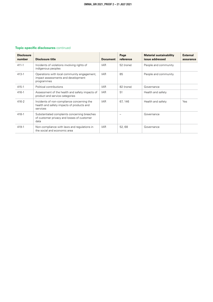### **Topic-specific disclosures** continued

| <b>Disclosure</b><br>number | <b>Disclosure title</b>                                                                             | <b>Document</b> | Page<br>reference | <b>Material sustainability</b><br>issue addressed | <b>External</b><br>assurance |
|-----------------------------|-----------------------------------------------------------------------------------------------------|-----------------|-------------------|---------------------------------------------------|------------------------------|
| $411 - 1$                   | Incidents of violations involving rights of<br>indigenous peoples                                   | <b>IAR</b>      | 52 (none)         | People and community                              |                              |
| $413-1$                     | Operations with local community engagement,<br>impact assessments and development<br>programmes     | <b>IAR</b>      | 85                | People and community                              |                              |
| $415 - 1$                   | Political contributions                                                                             | <b>IAR</b>      | 82 (none)         | Governance                                        |                              |
| $416 - 1$                   | Assessment of the health and safety impacts of<br>product and service categories                    | <b>IAR</b>      | 51                | Health and safety                                 |                              |
| $416 - 2$                   | Incidents of non-compliance concerning the<br>health and safety impacts of products and<br>services | <b>IAR</b>      | 67, 146           | Health and safety                                 | Yes                          |
| 418-1                       | Substantiated complaints concerning breaches<br>of customer privacy and losses of customer<br>data  |                 |                   | Governance                                        |                              |
| 419-1                       | Non-compliance with laws and regulations in<br>the social and economic area                         | <b>IAR</b>      | 52,68             | Governance                                        |                              |